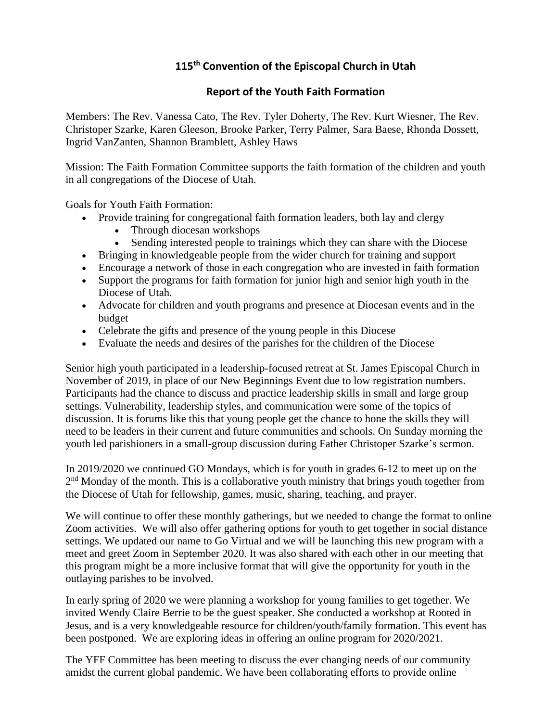## **115 th Convention of the Episcopal Church in Utah**

## **Report of the Youth Faith Formation**

Members: The Rev. Vanessa Cato, The Rev. Tyler Doherty, The Rev. Kurt Wiesner, The Rev. Christoper Szarke, Karen Gleeson, Brooke Parker, Terry Palmer, Sara Baese, Rhonda Dossett, Ingrid VanZanten, Shannon Bramblett, Ashley Haws

Mission: The Faith Formation Committee supports the faith formation of the children and youth in all congregations of the Diocese of Utah.

Goals for Youth Faith Formation:

- Provide training for congregational faith formation leaders, both lay and clergy
	- Through diocesan workshops
	- Sending interested people to trainings which they can share with the Diocese
- Bringing in knowledgeable people from the wider church for training and support
- Encourage a network of those in each congregation who are invested in faith formation
- Support the programs for faith formation for junior high and senior high youth in the Diocese of Utah.
- Advocate for children and youth programs and presence at Diocesan events and in the budget
- Celebrate the gifts and presence of the young people in this Diocese
- Evaluate the needs and desires of the parishes for the children of the Diocese

Senior high youth participated in a leadership-focused retreat at St. James Episcopal Church in November of 2019, in place of our New Beginnings Event due to low registration numbers. Participants had the chance to discuss and practice leadership skills in small and large group settings. Vulnerability, leadership styles, and communication were some of the topics of discussion. It is forums like this that young people get the chance to hone the skills they will need to be leaders in their current and future communities and schools. On Sunday morning the youth led parishioners in a small-group discussion during Father Christoper Szarke's sermon.

In 2019/2020 we continued GO Mondays, which is for youth in grades 6-12 to meet up on the 2<sup>nd</sup> Monday of the month. This is a collaborative youth ministry that brings youth together from the Diocese of Utah for fellowship, games, music, sharing, teaching, and prayer.

We will continue to offer these monthly gatherings, but we needed to change the format to online Zoom activities. We will also offer gathering options for youth to get together in social distance settings. We updated our name to Go Virtual and we will be launching this new program with a meet and greet Zoom in September 2020. It was also shared with each other in our meeting that this program might be a more inclusive format that will give the opportunity for youth in the outlaying parishes to be involved.

In early spring of 2020 we were planning a workshop for young families to get together. We invited Wendy Claire Berrie to be the guest speaker. She conducted a workshop at Rooted in Jesus, and is a very knowledgeable resource for children/youth/family formation. This event has been postponed. We are exploring ideas in offering an online program for 2020/2021.

The YFF Committee has been meeting to discuss the ever changing needs of our community amidst the current global pandemic. We have been collaborating efforts to provide online